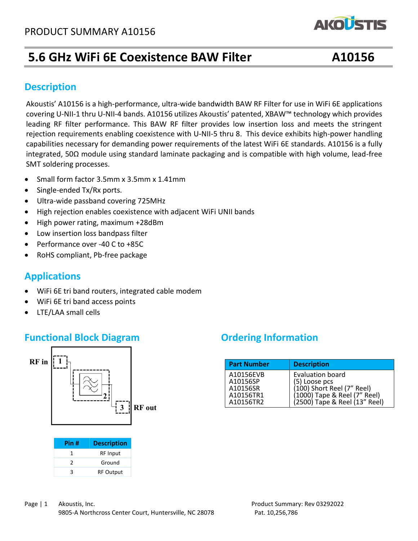# **5.6 GHz WiFi 6E Coexistence BAW Filter A10156**

### **Description**

capabilities necessary for demanding power requirements of the latest wi<del>r</del>f oc standards. A10156 is a fully<br>integrated, 50Ω module using standard laminate packaging and is compatible with high volume, lead-free SMT soldering processes. Akoustis' A10156 is a high-performance, ultra-wide bandwidth BAW RF Filter for use in WiFi 6E applications covering U-NII-1 thru U-NII-4 bands. A10156 utilizes Akoustis' patented, XBAW™ technology which provides leading RF filter performance. This BAW RF filter provides low insertion loss and meets the stringent rejection requirements enabling coexistence with U-NII-5 thru 8. This device exhibits high-power handling capabilities necessary for demanding power requirements of the latest WiFi 6E standards. A10156 is a fully

- Small form factor 3.5mm x 3.5mm x 1.41mm
- Single-ended Tx/Rx ports.
- Ultra-wide passband covering 725MHz
- High rejection enables coexistence with adjacent WiFi UNII bands
- High power rating, maximum +28dBm
- Low insertion loss bandpass filter
- Performance over -40 C to +85C
- RoHS compliant, Pb-free package

## **Applications**

- WiFi 6E tri band routers, integrated cable modem
- WiFi 6E tri band access points
- LTE/LAA small cells

### **Functional Block Diagram** *Ordering Information*



| Pin #         | <b>Description</b> |
|---------------|--------------------|
|               | <b>RF</b> Input    |
| $\mathcal{P}$ | Ground             |
| ว             | <b>RF Output</b>   |

| <b>Part Number</b>                                          | <b>Description</b>                                                                                                                      |
|-------------------------------------------------------------|-----------------------------------------------------------------------------------------------------------------------------------------|
| A10156EVB<br>A10156SP<br>A10156SR<br>A10156TR1<br>A10156TR2 | <b>Evaluation board</b><br>(5) Loose pcs<br>(100) Short Reel (7" Reel)<br>(1000) Tape & Reel (7" Reel)<br>(2500) Tape & Reel (13" Reel) |